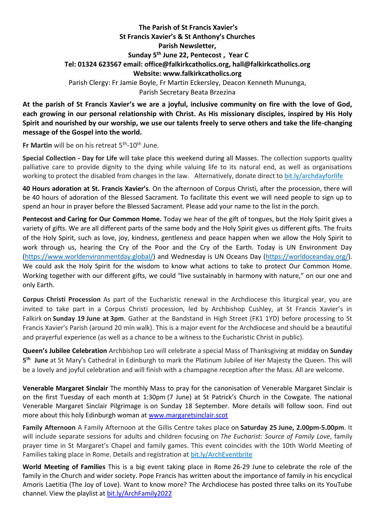## **The Parish of St Francis Xavier's St Francis Xavier's & St Anthony's Churches Parish Newsletter, Sunday 5 th June 22, Pentecost , Year C Tel: 01324 623567 email: office@falkirkcatholics.org, [hall@falkirkcatholics.org](mailto:hall@falkirkcatholics.org) Website: [www.falkirkcatholics.org](http://www.falkirkcatholics.org/)**  Parish Clergy: Fr Jamie Boyle, Fr Martin Eckersley, Deacon Kenneth Mununga, Parish Secretary Beata Brzezina

**At the parish of St Francis Xavier's we are a joyful, inclusive community on fire with the love of God, each growing in our personal relationship with Christ. As His missionary disciples, inspired by His Holy Spirit and nourished by our worship, we use our talents freely to serve others and take the life-changing message of the Gospel into the world.**

Fr Martin will be on his retreat 5<sup>th</sup>-10<sup>th</sup> June.

**Special Collection - Day for Life** will take place this weekend during all Masses. The collection supports quality palliative care to provide dignity to the dying while valuing life to its natural end, as well as organisations working to protect the disabled from changes in the law. Alternatively, donate direct to [bit.ly/archdayforlife](https://bit.ly/archdayforlife)

**40 Hours adoration at St. Francis Xavier's**. On the afternoon of Corpus Christi, after the procession, there will be 40 hours of adoration of the Blessed Sacrament. To facilitate this event we will need people to sign up to spend an hour in prayer before the Blessed Sacrament. Please add your name to the list in the porch.

**Pentecost and Caring for Our Common Home.** Today we hear of the gift of tongues, but the Holy Spirit gives a variety of gifts. We are all different parts of the same body and the Holy Spirit gives us different gifts. The fruits of the Holy Spirit, such as love, joy, kindness, gentleness and peace happen when we allow the Holy Spirit to work through us, hearing the Cry of the Poor and the Cry of the Earth. Today is UN Environment Day [\(https://www.worldenvironmentday.global/\)](https://www.worldenvironmentday.global/) and Wednesday is UN Oceans Day [\(https://worldoceanday.org/\)](https://worldoceanday.org/). We could ask the Holy Spirit for the wisdom to know what actions to take to protect Our Common Home. Working together with our different gifts, we could "live sustainably in harmony with nature," on our one and only Earth.

**Corpus Christi Procession** As part of the Eucharistic renewal in the Archdiocese this liturgical year, you are invited to take part in a Corpus Christi procession, led by Archbishop Cushley, at St Francis Xavier's in Falkirk on **Sunday 19 June at 3pm**. Gather at the Bandstand in High Street (FK1 1YD) before processing to St Francis Xavier's Parish (around 20 min walk). This is a major event for the Archdiocese and should be a beautiful and prayerful experience (as well as a chance to be a witness to the Eucharistic Christ in public).

**Queen's Jubilee Celebration** Archbishop Leo will celebrate a special Mass of Thanksgiving at midday on **Sunday 5 th June** at St Mary's Cathedral in Edinburgh to mark the Platinum Jubilee of Her Majesty the Queen. This will be a lovely and joyful celebration and will finish with a champagne reception after the Mass. All are welcome.

**Venerable Margaret Sinclair** The monthly Mass to pray for the canonisation of Venerable Margaret Sinclair is on the first Tuesday of each month at 1:30pm (7 June) at St Patrick's Church in the Cowgate. The national Venerable Margaret Sinclair Pilgrimage is on Sunday 18 September. More details will follow soon. Find out more about this holy Edinburgh woman at [www.margaretsinclair.scot](http://www.margaretsinclair.scot/)

**Family Afternoon** A Family Afternoon at the Gillis Centre takes place on **Saturday 25 June, 2.00pm-5.00pm**. It will include separate sessions for adults and children focusing on *The Eucharist: Source of Family Love*, family prayer time in St Margaret's Chapel and family games. This event coincides with the 10th World Meeting of Families taking place in Rome. Details and registration at [bit.ly/ArchEventbrite](https://bit.ly/ArchEventbrite)

**World Meeting of Families** This is a big event taking place in Rome 26-29 June to celebrate the role of the family in the Church and wider society. Pope Francis has written about the importance of family in his encyclical Amoris Laetitia (The Joy of Love). Want to know more? The Archdiocese has posted three talks on its YouTube channel. View the playlist at [bit.ly/ArchFamily2022](https://www.youtube.com/playlist?list=PLQv_xMj23KQgSetlM_e3kCFxdy9Tya7B2)